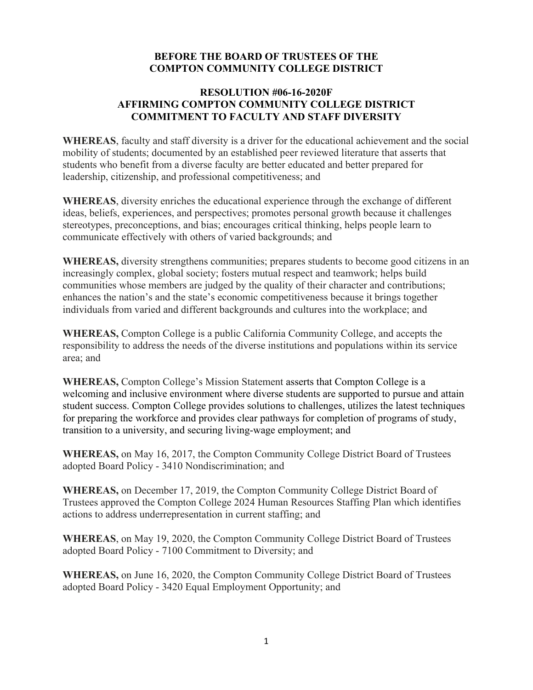## **BEFORE THE BOARD OF TRUSTEES OF THE COMPTON COMMUNITY COLLEGE DISTRICT**

## **RESOLUTION #06-16-2020F AFFIRMING COMPTON COMMUNITY COLLEGE DISTRICT COMMITMENT TO FACULTY AND STAFF DIVERSITY**

**WHEREAS**, faculty and staff diversity is a driver for the educational achievement and the social mobility of students; documented by an established peer reviewed literature that asserts that students who benefit from a diverse faculty are better educated and better prepared for leadership, citizenship, and professional competitiveness; and

**WHEREAS**, diversity enriches the educational experience through the exchange of different ideas, beliefs, experiences, and perspectives; promotes personal growth because it challenges stereotypes, preconceptions, and bias; encourages critical thinking, helps people learn to communicate effectively with others of varied backgrounds; and

**WHEREAS,** diversity strengthens communities; prepares students to become good citizens in an increasingly complex, global society; fosters mutual respect and teamwork; helps build communities whose members are judged by the quality of their character and contributions; enhances the nation's and the state's economic competitiveness because it brings together individuals from varied and different backgrounds and cultures into the workplace; and

**WHEREAS,** Compton College is a public California Community College, and accepts the responsibility to address the needs of the diverse institutions and populations within its service area; and

**WHEREAS,** Compton College's Mission Statement asserts that Compton College is a welcoming and inclusive environment where diverse students are supported to pursue and attain student success. Compton College provides solutions to challenges, utilizes the latest techniques for preparing the workforce and provides clear pathways for completion of programs of study, transition to a university, and securing living-wage employment; and

**WHEREAS,** on May 16, 2017, the Compton Community College District Board of Trustees adopted Board Policy - 3410 Nondiscrimination; and

**WHEREAS,** on December 17, 2019, the Compton Community College District Board of Trustees approved the Compton College 2024 Human Resources Staffing Plan which identifies actions to address underrepresentation in current staffing; and

**WHEREAS**, on May 19, 2020, the Compton Community College District Board of Trustees adopted Board Policy - 7100 Commitment to Diversity; and

**WHEREAS,** on June 16, 2020, the Compton Community College District Board of Trustees adopted Board Policy - 3420 Equal Employment Opportunity; and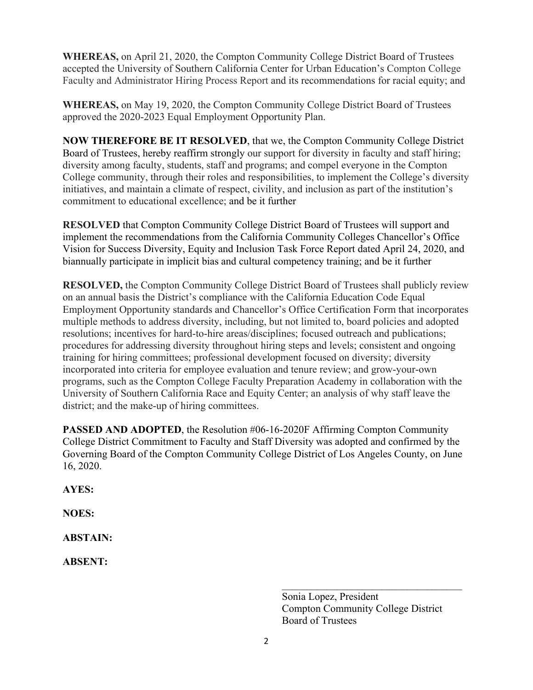**WHEREAS,** on April 21, 2020, the Compton Community College District Board of Trustees accepted the University of Southern California Center for Urban Education's Compton College Faculty and Administrator Hiring Process Report and its recommendations for racial equity; and

**WHEREAS,** on May 19, 2020, the Compton Community College District Board of Trustees approved the 2020-2023 Equal Employment Opportunity Plan.

**NOW THEREFORE BE IT RESOLVED**, that we, the Compton Community College District Board of Trustees, hereby reaffirm strongly our support for diversity in faculty and staff hiring; diversity among faculty, students, staff and programs; and compel everyone in the Compton College community, through their roles and responsibilities, to implement the College's diversity initiatives, and maintain a climate of respect, civility, and inclusion as part of the institution's commitment to educational excellence; and be it further

**RESOLVED** that Compton Community College District Board of Trustees will support and implement the recommendations from the California Community Colleges Chancellor's Office Vision for Success Diversity, Equity and Inclusion Task Force Report dated April 24, 2020, and biannually participate in implicit bias and cultural competency training; and be it further

**RESOLVED,** the Compton Community College District Board of Trustees shall publicly review on an annual basis the District's compliance with the California Education Code Equal Employment Opportunity standards and Chancellor's Office Certification Form that incorporates multiple methods to address diversity, including, but not limited to, board policies and adopted resolutions; incentives for hard-to-hire areas/disciplines; focused outreach and publications; procedures for addressing diversity throughout hiring steps and levels; consistent and ongoing training for hiring committees; professional development focused on diversity; diversity incorporated into criteria for employee evaluation and tenure review; and grow-your-own programs, such as the Compton College Faculty Preparation Academy in collaboration with the University of Southern California Race and Equity Center; an analysis of why staff leave the district; and the make-up of hiring committees.

**PASSED AND ADOPTED**, the Resolution #06-16-2020F Affirming Compton Community College District Commitment to Faculty and Staff Diversity was adopted and confirmed by the Governing Board of the Compton Community College District of Los Angeles County, on June 16, 2020.

**AYES:** 

**NOES:** 

**ABSTAIN:** 

**ABSENT:**

\_\_\_\_\_\_\_\_\_\_\_\_\_\_\_\_\_\_\_\_\_\_\_\_\_\_\_\_\_\_\_\_\_\_\_\_ Sonia Lopez, President Compton Community College District Board of Trustees